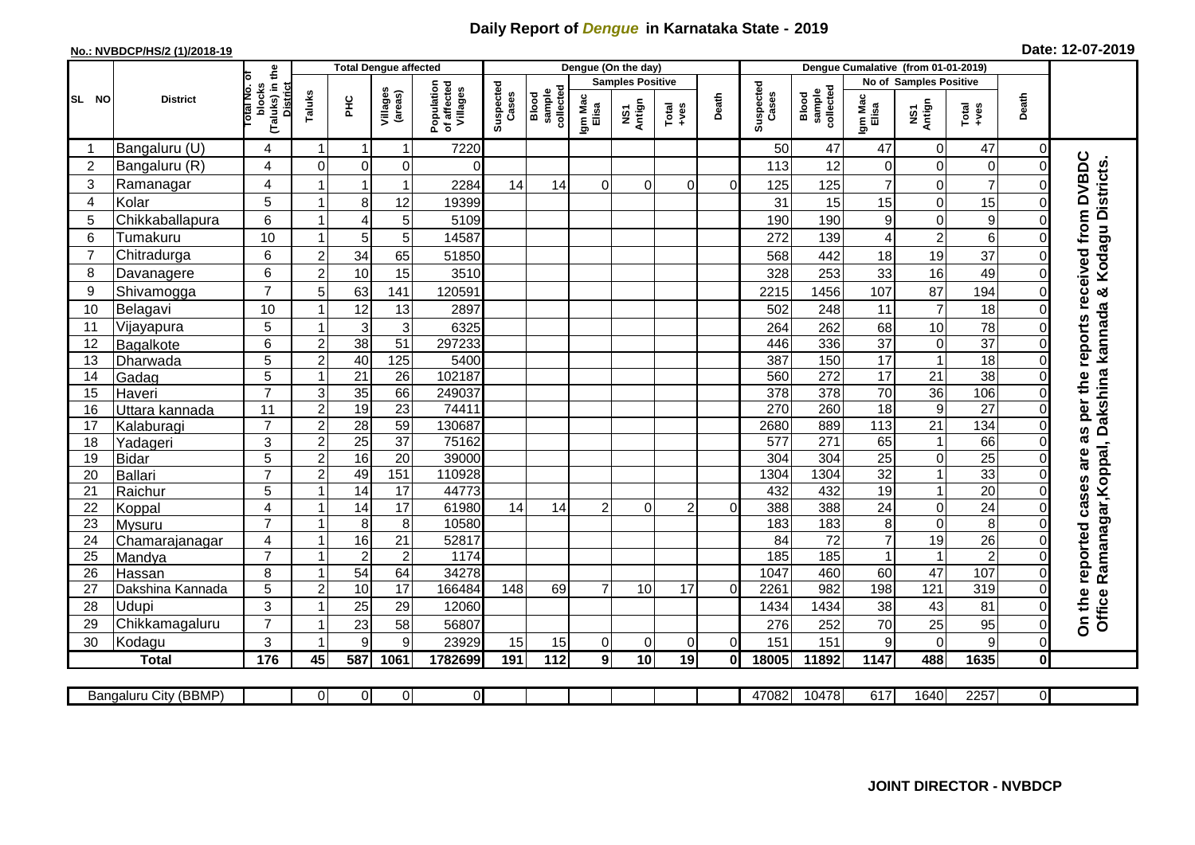## **Daily Report of** *Dengue* **in Karnataka State - 2019**

## **No.: NVBDCP/HS/2 (1)/2018-19 Date: 12-07-2019**

|                | <b>District</b>          |                                                              | <b>Total Dengue affected</b> |                         |                     |                                       |                    |                              | Dengue (On the day)     |                |                |                |                    |                              |                     |                                  |                                   |          |                                                                |
|----------------|--------------------------|--------------------------------------------------------------|------------------------------|-------------------------|---------------------|---------------------------------------|--------------------|------------------------------|-------------------------|----------------|----------------|----------------|--------------------|------------------------------|---------------------|----------------------------------|-----------------------------------|----------|----------------------------------------------------------------|
|                |                          |                                                              |                              |                         |                     | Population<br>of affected<br>Villages | Suspected<br>Cases |                              | <b>Samples Positive</b> |                |                |                |                    |                              |                     | <b>No of Samples Positive</b>    |                                   |          |                                                                |
| SL NO          |                          | (Taluks) in the<br>Total No. of<br>blocks<br><b>District</b> | Taluks                       | <b>PHC</b>              | Villages<br>(areas) |                                       |                    | collected<br>sample<br>Blood | Igm Mac<br>Elisa        | NS1<br>Antign  | $Total$        | Death          | Suspected<br>Cases | sample<br>collected<br>Blood | Igm Mac<br>Elisa    | NS1<br>Antign                    | Total<br>+ves                     | Death    |                                                                |
|                | Bangaluru (U)            | 4                                                            | $\mathbf 1$                  | $\overline{\mathbf{1}}$ | $\mathbf 1$         | 7220                                  |                    |                              |                         |                |                |                | 50                 | 47                           | 47                  | $\pmb{0}$                        | 47                                | 0        |                                                                |
| $\overline{2}$ | Bangaluru (R)            | 4                                                            | $\Omega$                     | $\Omega$                | $\mathbf 0$         | $\Omega$                              |                    |                              |                         |                |                |                | 113                | 12                           | $\Omega$            | $\mathbf 0$                      | $\pmb{0}$                         | $\Omega$ | as per the reports received from DVBDC                         |
| 3              | Ramanagar                | 4                                                            |                              | 1                       | 1                   | 2284                                  | 14                 | 14                           | $\Omega$                | $\Omega$       | $\Omega$       | $\Omega$       | 125                | 125                          | $\overline{7}$      | $\mathbf 0$                      | $\overline{7}$                    |          | Office Ramanagar, Koppal, Dakshina kannada & Kodagu Districts. |
| 4              | Kolar                    | 5                                                            |                              | 8                       | 12                  | 19399                                 |                    |                              |                         |                |                |                | 31                 | 15                           | 15                  | $\mathbf 0$                      | 15                                |          |                                                                |
| 5              | Chikkaballapura          | $6\phantom{1}$                                               |                              | $\overline{A}$          | 5                   | 5109                                  |                    |                              |                         |                |                |                | 190                | 190                          | 9                   | $\mathsf 0$                      | $9\,$                             |          |                                                                |
| 6              | Tumakuru                 | 10                                                           |                              | 5                       | 5                   | 14587                                 |                    |                              |                         |                |                |                | 272                | 139                          | 4                   | $\overline{2}$                   | $\,6\,$                           |          |                                                                |
| $\overline{7}$ | Chitradurga              | 6                                                            | $\overline{2}$               | 34                      | 65                  | 51850                                 |                    |                              |                         |                |                |                | 568                | 442                          | 18                  | 19                               | 37                                |          |                                                                |
| 8              | Davanagere               | 6                                                            | $\overline{c}$               | 10                      | 15                  | 3510                                  |                    |                              |                         |                |                |                | 328                | 253                          | 33                  | 16                               | 49                                | $\Omega$ |                                                                |
| 9              | Shivamogga               | $\overline{7}$                                               | 5                            | 63                      | 141                 | 120591                                |                    |                              |                         |                |                |                | 2215               | 1456                         | 107                 | 87                               | 194                               |          |                                                                |
| 10             | Belagavi                 | 10                                                           |                              | 12                      | 13                  | 2897                                  |                    |                              |                         |                |                |                | 502                | 248                          | 11                  | $\overline{7}$                   | 18                                |          |                                                                |
| 11             | Vijayapura               | 5                                                            |                              | 3                       | 3                   | 6325                                  |                    |                              |                         |                |                |                | 264                | 262                          | 68                  | 10                               | 78                                |          |                                                                |
| 12             | Bagalkote                | 6                                                            | $\overline{2}$               | $\overline{38}$         | $\overline{51}$     | 297233                                |                    |                              |                         |                |                |                | 446                | 336                          | $\overline{37}$     | $\pmb{0}$                        | $\overline{37}$                   |          |                                                                |
| 13             | Dharwada                 | 5                                                            | $\overline{2}$               | 40                      | 125                 | 5400                                  |                    |                              |                         |                |                |                | 387                | 150                          | 17                  | $\overline{1}$                   | 18                                |          |                                                                |
| 14             | Gadag                    | $\overline{5}$                                               |                              | $\overline{21}$         | $\overline{26}$     | 102187                                |                    |                              |                         |                |                |                | 560                | 272                          | $\overline{17}$     | $\overline{21}$                  | 38                                |          |                                                                |
| 15             | Haveri                   | $\overline{7}$                                               | $\mathsf 3$                  | 35                      | 66                  | 249037                                |                    |                              |                         |                |                |                | 378                | 378                          | $\overline{70}$     | $\overline{36}$                  | 106                               | $\Omega$ |                                                                |
| 16             | Uttara kannada           | 11                                                           | $\overline{2}$               | 19                      | $\overline{23}$     | 74411                                 |                    |                              |                         |                |                |                | 270                | 260                          | $\overline{18}$     | $\overline{9}$                   | $\overline{27}$                   |          |                                                                |
| 17             | Kalaburagi               | $\overline{7}$                                               | $\overline{c}$               | $\overline{28}$         | 59                  | 130687                                |                    |                              |                         |                |                |                | 2680               | 889                          | 113                 | $\overline{21}$                  | 134                               |          |                                                                |
| 18             | Yadageri                 | 3                                                            | $\overline{c}$               | 25                      | $\overline{37}$     | 75162                                 |                    |                              |                         |                |                |                | 577                | 271                          | 65                  | $\mathbf{1}$                     | 66                                |          |                                                                |
| 19             | <b>Bidar</b>             | 5                                                            | $\overline{2}$               | 16                      | $\overline{20}$     | 39000                                 |                    |                              |                         |                |                |                | 304                | $\overline{304}$             | $\overline{25}$     | $\mathsf 0$                      | $\overline{25}$                   |          |                                                                |
| 20             | Ballari                  | $\overline{7}$                                               | $\overline{2}$               | 49                      | 151                 | 110928                                |                    |                              |                         |                |                |                | 1304               | 1304                         | $\overline{32}$     | $\overline{1}$                   | 33                                |          |                                                                |
| 21             | Raichur                  | $\overline{5}$                                               |                              | $\overline{14}$         | $\overline{17}$     | 44773                                 |                    |                              |                         |                |                |                | 432                | 432                          | 19                  | $\mathbf{1}$                     | 20                                | $\Omega$ |                                                                |
| 22             | Koppal                   | 4<br>$\overline{7}$                                          |                              | 14                      | 17                  | 61980<br>10580                        | 14                 | 14                           | $\overline{2}$          | $\Omega$       | $\overline{2}$ | $\Omega$       | 388<br>183         | 388<br>183                   | $\overline{24}$     | $\overline{0}$<br>$\overline{0}$ | $\overline{24}$<br>$\overline{8}$ | $\Omega$ |                                                                |
| 23<br>24       | Mysuru                   | 4                                                            |                              | 8<br>16                 | $\,8\,$<br>21       | 52817                                 |                    |                              |                         |                |                |                | 84                 | $\overline{72}$              | 8<br>$\overline{7}$ | $\overline{19}$                  | $\overline{26}$                   |          |                                                                |
| 25             | Chamarajanagar<br>Mandya | $\overline{7}$                                               |                              | $\overline{2}$          | $\boldsymbol{2}$    | 1174                                  |                    |                              |                         |                |                |                | 185                | 185                          | 1                   | $\mathbf{1}$                     | $\overline{2}$                    |          |                                                                |
| 26             | Hassan                   | 8                                                            |                              | 54                      | 64                  | 34278                                 |                    |                              |                         |                |                |                | 1047               | 460                          | 60                  | $\overline{47}$                  | 107                               |          |                                                                |
| 27             | Dakshina Kannada         | 5                                                            | $\overline{2}$               | $10$                    | 17                  | 166484                                | 148                | 69                           | $\overline{7}$          | 10             | 17             | $\Omega$       | 2261               | 982                          | 198                 | 121                              | $\overline{319}$                  |          |                                                                |
| 28             | Udupi                    | 3                                                            |                              | 25                      | 29                  | 12060                                 |                    |                              |                         |                |                |                | 1434               | 1434                         | 38                  | 43                               | 81                                |          |                                                                |
| 29             | Chikkamagaluru           | $\overline{7}$                                               |                              | 23                      | 58                  | 56807                                 |                    |                              |                         |                |                |                | 276                | 252                          | 70                  | 25                               | 95                                | 0        | On the reported cases are                                      |
| 30             | Kodagu                   | 3                                                            |                              | 9                       | 9                   | 23929                                 | 15                 | 15                           | $\overline{O}$          | $\overline{0}$ | 0              | $\overline{0}$ | 151                | 151                          | 9                   | $\mathbf 0$                      | $\boldsymbol{9}$                  | 0        |                                                                |
|                | <b>Total</b>             | 176                                                          | 45                           | 587                     | 1061                | 1782699                               | 191                | 112                          | 9 <sub>l</sub>          | 10             | 19             | 0l             | 18005              | 11892                        | 1147                | 488                              | 1635                              | Οl       |                                                                |
|                |                          |                                                              |                              |                         |                     |                                       |                    |                              |                         |                |                |                |                    |                              |                     |                                  |                                   |          |                                                                |
|                | Bangaluru City (BBMP)    |                                                              | $\Omega$                     | $\overline{0}$          | $\pmb{0}$           | $\overline{O}$                        |                    |                              |                         |                |                |                | 47082              | 10478                        | 617                 | 1640                             | 2257                              | ΟI       |                                                                |